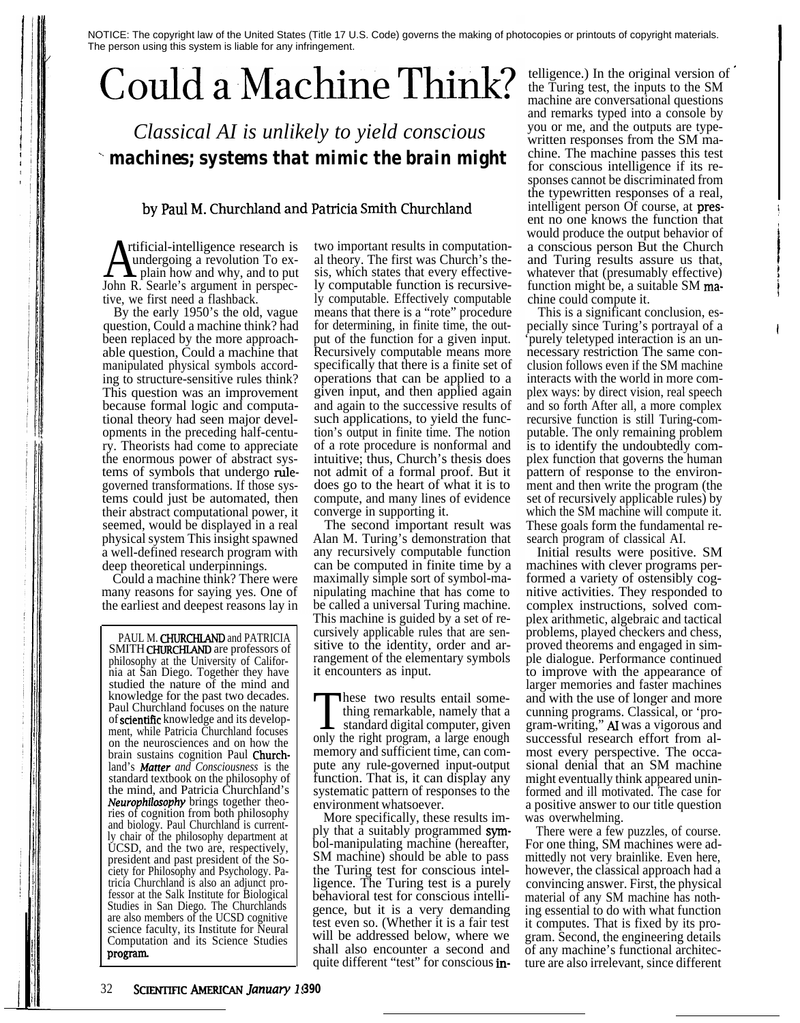NOTICE: The copyright law of the United States (Title 17 U.S. Code) governs the making of photocopies or printouts of copyright materials. The person using this system is liable for any infringement.

# Could a Machine Think?

## *Classical AI is unlikely to yield conscious .- machines; systems that mimic the brain might*

## by Paul M. Churchland and Patricia Smith Churchland

rtificial-intelligence research is<br>
undergoing a revolution To explain how and why, and to put John R. Searle's argument in perspective, we first need a flashback.

By the early 1950's the old, vague question, Could a machine think? had been replaced by the more approachable question, Could a machine that manipulated physical symbols according to structure-sensitive rules think? This question was an improvement because formal logic and computational theory had seen major developments in the preceding half-century. Theorists had come to appreciate the enormous power of abstract systems of symbols that undergo rulegoverned transformations. If those systems could just be automated, then their abstract computational power, it seemed, would be displayed in a real physical system This insight spawned a well-defined research program with deep theoretical underpinnings.

Could a machine think? There were many reasons for saying yes. One of the earliest and deepest reasons lay in

PAUL M. CHURCHLAND and PATRICIA SMITH CHURCHLAND are professors of philosophy at the University of California at San Diego. Together they have studied the nature of the mind and knowledge for the past two decades. Paul Churchland focuses on the nature of scientific knowledge and its development, while Patricia Churchland focuses on the neurosciences and on how the brain sustains cognition Paul Churchland's **Matter** and *Consciousness* is the standard textbook on the philosophy of the mind, and Patricia Churchland's Neurophilosophy brings together theories of cognition from both philosophy and biology. Paul Churchland is currently chair of the philosophy department at UCSD, and the two are, respectively, president and past president of the Society for Philosophy and Psychology. Patricia Churchland is also an adjunct professor at the Salk Institute for Biological Studies in San Diego. The Churchlands are also members of the UCSD cognitive science faculty, its Institute for Neural Computation and its Science Studies program.

two important results in computational theory. The first was Church's thesis, which states that every effectively computable function is recursively computable. Effectively computable means that there is a "rote" procedure for determining, in finite time, the output of the function for a given input. Recursively computable means more specifically that there is a finite set of operations that can be applied to a given input, and then applied again and again to the successive results of such applications, to yield the function's output in finite time. The notion of a rote procedure is nonformal and intuitive; thus, Church's thesis does not admit of a formal proof. But it does go to the heart of what it is to compute, and many lines of evidence converge in supporting it.

The second important result was Alan M. Turing's demonstration that any recursively computable function can be computed in finite time by a maximally simple sort of symbol-manipulating machine that has come to be called a universal Turing machine. This machine is guided by a set of recursively applicable rules that are sensitive to the identity, order and arrangement of the elementary symbols it encounters as input.

These two results entail some-<br>thing remarkable, namely that a<br>standard digital computer, given<br>only the right program, a large enough hese two results entail something remarkable, namely that a standard digital computer, given memory and sufficient time, can compute any rule-governed input-output function. That is, it can display any systematic pattern of responses to the environment whatsoever.

More specifically, these results imply that a suitably programmed symbol-manipulating machine (hereafter, SM machine) should be able to pass the Turing test for conscious intelligence. The Turing test is a purely behavioral test for conscious intelligence, but it is a very demanding test even so. (Whether it is a fair test will be addressed below, where we shall also encounter a second and quite different "test" for conscious in-

telligence.) In the original version of ' the Turing test, the inputs to the SM machine are conversational questions and remarks typed into a console by you or me, and the outputs are typewritten responses from the SM machine. The machine passes this test for conscious intelligence if its responses cannot be discriminated from the typewritten responses of a real, intelligent person Of course, at present no one knows the function that would produce the output behavior of a conscious person But the Church and Turing results assure us that, whatever that (presumably effective) function might be, a suitable SM machine could compute it.

This is a significant conclusion, especially since Turing's portrayal of a 'purely teletyped interaction is an unnecessary restriction The same conclusion follows even if the SM machine interacts with the world in more complex ways: by direct vision, real speech and so forth After all, a more complex recursive function is still Turing-computable. The only remaining problem is to identify the undoubtedly complex function that governs the human pattern of response to the environment and then write the program (the set of recursively applicable rules) by which the SM machine will compute it. These goals form the fundamental research program of classical AI.

Initial results were positive. SM machines with clever programs performed a variety of ostensibly cognitive activities. They responded to complex instructions, solved complex arithmetic, algebraic and tactical problems, played checkers and chess, proved theorems and engaged in simple dialogue. Performance continued to improve with the appearance of larger memories and faster machines and with the use of longer and more cunning programs. Classical, or 'program-writing," AI was a vigorous and successful research effort from almost every perspective. The occasional denial that an SM machine might eventually think appeared uninformed and ill motivated. The case for a positive answer to our title question was overwhelming.

There were a few puzzles, of course. For one thing, SM machines were admittedly not very brainlike. Even here, however, the classical approach had a convincing answer. First, the physical material of any SM machine has nothing essential to do with what function it computes. That is fixed by its program. Second, the engineering details of any machine's functional architecture are also irrelevant, since different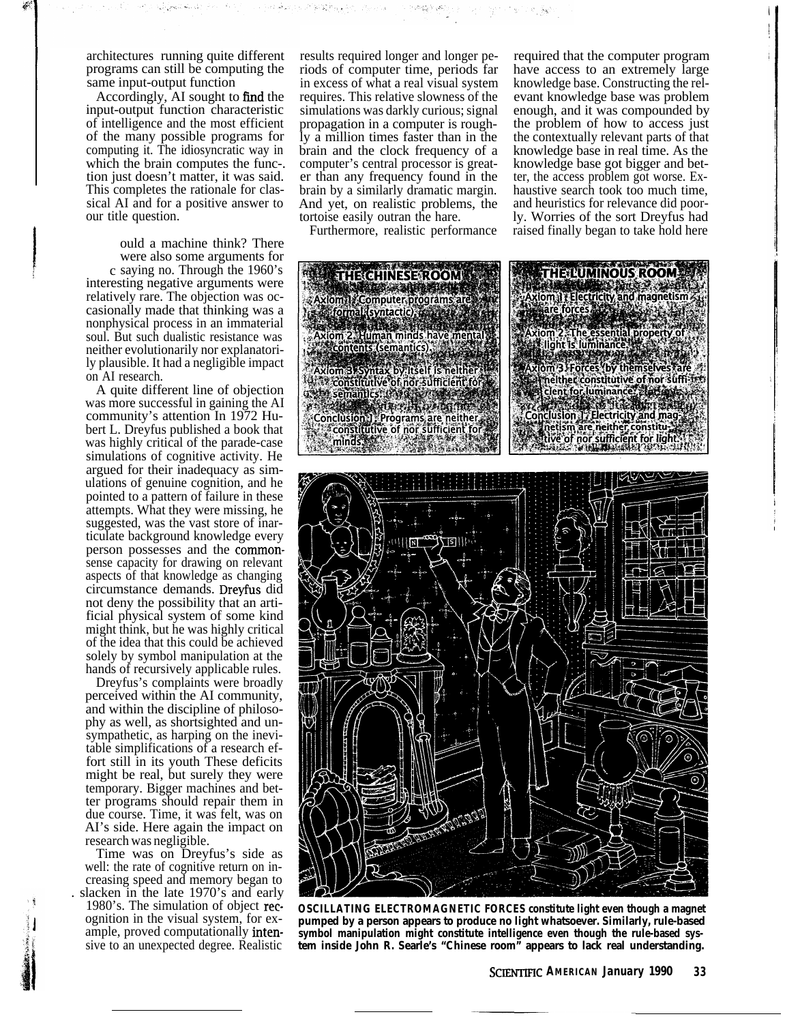architectures running quite different programs can still be computing the same input-output function

Accordingly, AI sought to find the input-output function characteristic of intelligence and the most efficient of the many possible programs for computing it. The idiosyncratic way in which the brain computes the func-. tion just doesn't matter, it was said. This completes the rationale for classical AI and for a positive answer to our title question.

 $\overline{\mathbf{c}}$ ould a machine think? There were also some arguments for saying no. Through the 1960's interesting negative arguments were relatively rare. The objection was occasionally made that thinking was a nonphysical process in an immaterial soul. But such dualistic resistance was neither evolutionarily nor explanatorily plausible. It had a negligible impact on AI research.

A quite different line of objection was more successful in gaining the AI community's attention In 1972 Hubert L. Dreyfus published a book that was highly critical of the parade-case simulations of cognitive activity. He argued for their inadequacy as simulations of genuine cognition, and he pointed to a pattern of failure in these attempts. What they were missing, he suggested, was the vast store of inarticulate background knowledge every person possesses and the commonsense capacity for drawing on relevant aspects of that knowledge as changing circumstance demands. Dreyfus did not deny the possibility that an artificial physical system of some kind might think, but he was highly critical of the idea that this could be achieved solely by symbol manipulation at the hands of recursively applicable rules.

Dreyfus's complaints were broadly perceived within the AI community, and within the discipline of philosophy as well, as shortsighted and unsympathetic, as harping on the inevitable simplifications of a research effort still in its youth These deficits might be real, but surely they were temporary. Bigger machines and better programs should repair them in due course. Time, it was felt, was on AI's side. Here again the impact on research was negligible.

Time was on Dreyfus's side as well: the rate of cognitive return on increasing speed and memory began to . slacken in the late 1970's and early 1980's. The simulation of object recognition in the visual system, for example, proved computationally intensive to an unexpected degree. Realistic

results required longer and longer periods of computer time, periods far in excess of what a real visual system requires. This relative slowness of the simulations was darkly curious; signal propagation in a computer is roughly a million times faster than in the brain and the clock frequency of a computer's central processor is greater than any frequency found in the brain by a similarly dramatic margin. And yet, on realistic problems, the tortoise easily outran the hare.

Furthermore, realistic performance

required that the computer program have access to an extremely large knowledge base. Constructing the relevant knowledge base was problem enough, and it was compounded by the problem of how to access just the contextually relevant parts of that knowledge base in real time. As the knowledge base got bigger and better, the access problem got worse. Exhaustive search took too much time, and heuristics for relevance did poorly. Worries of the sort Dreyfus had raised finally began to take hold here



**OSCILLATING ELECTROMAGNETIC FORCES constitute light even though a magnet pumped by a person appears to produce no light whatsoever. Similarly, rule-based symbol manipulation might constitute intelligence even though the rule-based system inside John R. Searle's "Chinese room" appears to lack real understanding.**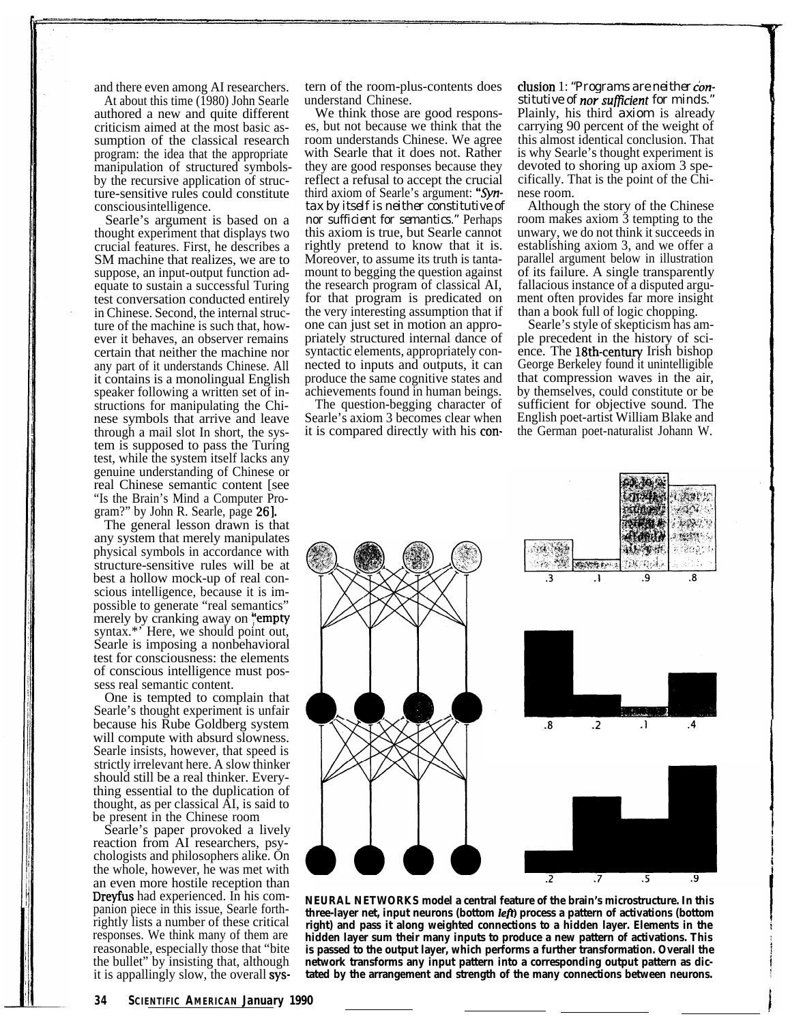and there even among AI researchers.

At about this time  $(1980)$  John Searle authored a new and quite different criticism aimed at the most basic assumption of the classical research program: the idea that the appropriate manipulation of structured symbolsby the recursive application of structure-sensitive rules could constitute conscious intelligence.

Searle's argument is based on a thought experiment that displays two crucial features. First, he describes a SM machine that realizes, we are to suppose, an input-output function adequate to sustain a successful Turing test conversation conducted entirely in Chinese. Second, the internal structure of the machine is such that, however it behaves, an observer remains certain that neither the machine nor any part of it understands Chinese. All it contains is a monolingual English speaker following a written set of instructions for manipulating the Chinese symbols that arrive and leave through a mail slot In short, the system is supposed to pass the Turing test, while the system itself lacks any genuine understanding of Chinese or real Chinese semantic content [see "Is the Brain's Mind a Computer Program?" by John R. Searle, page 26].

The general lesson drawn is that any system that merely manipulates physical symbols in accordance with structure-sensitive rules will be at best a hollow mock-up of real conscious intelligence, because it is impossible to generate "real semantics" merely by cranking away on "empty" syntax.\*' Here, we should point out, Searle is imposing a nonbehavioral test for consciousness: the elements of conscious intelligence must possess real semantic content.

One is tempted to complain that Searle's thought experiment is unfair because his Rube Goldberg system will compute with absurd slowness. Searle insists, however, that speed is strictly irrelevant here. A slow thinker should still be a real thinker. Everything essential to the duplication of thought, as per classical AI, is said to be present in the Chinese room

Searle's paper provoked a lively reaction from AI researchers, psychologists and philosophers alike. On the whole, however, he was met with an even more hostile reception than Dreyfus had experienced. In his companion piece in this issue, Searle forthrightly lists a number of these critical responses. We think many of them are reasonable, especially those that "bite the bullet" by insisting that, although it is appallingly slow, the overall systern of the room-plus-contents does understand Chinese.

We think those are good responses, but not because we think that the room understands Chinese. We agree with Searle that it does not. Rather they are good responses because they reflect a refusal to accept the crucial third axiom of Searle's argument: " $Sym$ *tax by itself is neither constitutive of nor sufficient for semantics."* Perhaps this axiom is true, but Searle cannot rightly pretend to know that it is. Moreover, to assume its truth is tantamount to begging the question against the research program of classical AI, for that program is predicated on the very interesting assumption that if one can just set in motion an appropriately structured internal dance of syntactic elements, appropriately connected to inputs and outputs, it can produce the same cognitive states and achievements found in human beings.

The question-begging character of Searle's axiom 3 becomes clear when it is compared directly with his conelusion 1: *"Programs are neither cbn*stitutive of nor sufficient for minds. Plainly, his third *axiom* is already carrying 90 percent of the weight of this almost identical conclusion. That is why Searle's thought experiment is devoted to shoring up axiom 3 specifically. That is the point of the Chinese room.

Although the story of the Chinese room makes axiom 3 tempting to the unwary, we do not think it succeeds in establishing axiom 3, and we offer a parallel argument below in illustration of its failure. A single transparently fallacious instance of a disputed argument often provides far more insight than a book full of logic chopping.

Searle's style of skepticism has ample precedent in the history of science. The 18th-century Irish bishop George Berkeley found it unintelligible that compression waves in the air, by themselves, could constitute or be sufficient for objective sound. The English poet-artist William Blake and the German poet-naturalist Johann W.



**NEURAL NETWORKS model a central feature of the brain's microstructure. In this three-layer net, input neurons (bottom left) process a pattern of activations (bottom right) and pass it along weighted connections to a hidden layer. Elements in the hidden layer sum their many inputs to produce a new pattern of activations. This is passed to the output layer, which performs a further transformation. Overall the network transforms any input pattern into a corresponding output pattern as dictated by the arrangement and strength of the many connections between neurons.**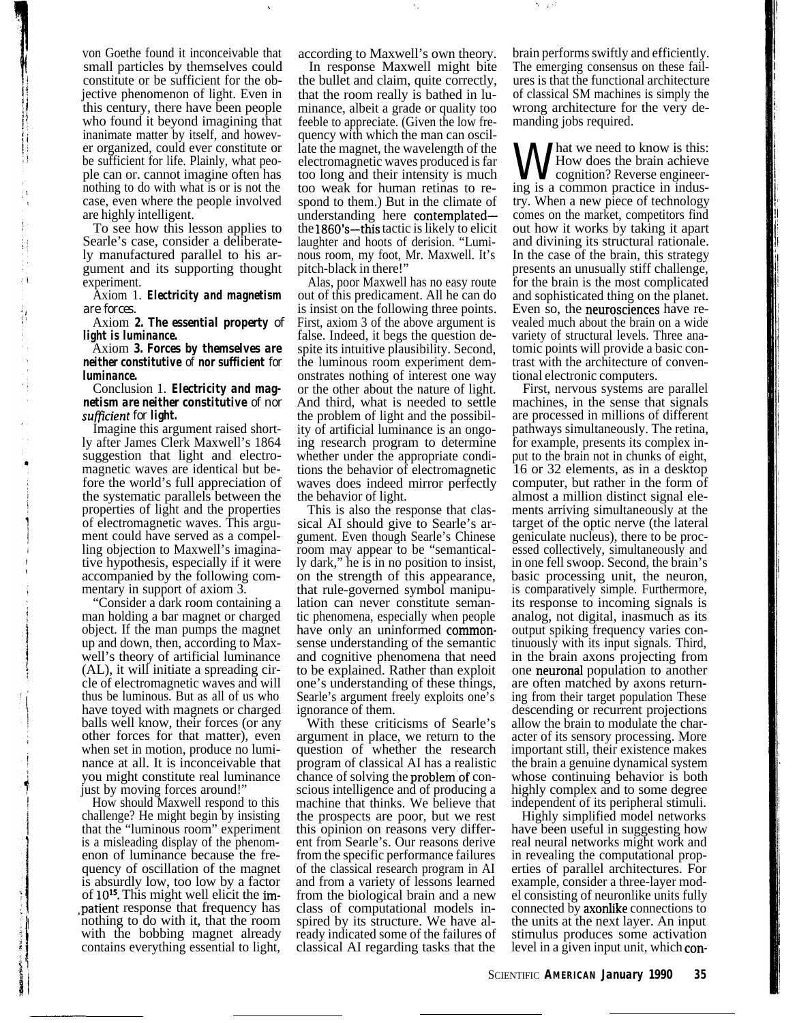von Goethe found it inconceivable that small particles by themselves could constitute or be sufficient for the objective phenomenon of light. Even in this century, there have been people who found it beyond imagining that inanimate matter by itself, and however organized, could ever constitute or be sufficient for life. Plainly, what people can or. cannot imagine often has nothing to do with what is or is not the case, even where the people involved are highly intelligent.

To see how this lesson applies to Searle's case, consider a deliberately manufactured parallel to his argument and its supporting thought experiment.

Axiom 1. *Electricity and magnetism are forces.*

Axiom *2. The essential property of light is luminance.*

Axiom *3. Forces by themselves are neither constitutive of nor sufficient for luminance.*

### Conclusion 1. *Electricity and magnetism are neither constitutive of nor suficient for light.*

Imagine this argument raised shortly after James Clerk Maxwell's 1864 suggestion that light and electromagnetic waves are identical but before the world's full appreciation of the systematic parallels between the properties of light and the properties of electromagnetic waves. This argument could have served as a compelling objection to Maxwell's imaginative hypothesis, especially if it were accompanied by the following commentary in support of axiom 3.

"Consider a dark room containing a man holding a bar magnet or charged object. If the man pumps the magnet up and down, then, according to Maxwell's theory of artificial luminance (AL), it will initiate a spreading circle of electromagnetic waves and will thus be luminous. But as all of us who have toyed with magnets or charged balls well know, their forces (or any other forces for that matter), even when set in motion, produce no luminance at all. It is inconceivable that you might constitute real luminance just by moving forces around!"

How should Maxwell respond to this challenge? He might begin by insisting that the "luminous room" experiment is a misleading display of the phenomenon of luminance because the frequency of oscillation of the magnet is absurdly low, too low by a factor of  $10^{15}$ . This might well elicit the im-,patient response that frequency has nothing to do with it, that the room with the bobbing magnet already contains everything essential to light,

according to Maxwell's own theory.

In response Maxwell might bite the bullet and claim, quite correctly, that the room really is bathed in luminance, albeit a grade or quality too feeble to appreciate. (Given the low frequency with which the man can oscillate the magnet, the wavelength of the electromagnetic waves produced is far too long and their intensity is much too weak for human retinas to respond to them.) But in the climate of understanding here contemplatedthe 1860's-this tactic is likely to elicit laughter and hoots of derision. "Luminous room, my foot, Mr. Maxwell. It's pitch-black in there!"

Alas, poor Maxwell has no easy route out of this predicament. All he can do is insist on the following three points. First, axiom 3 of the above argument is false. Indeed, it begs the question despite its intuitive plausibility. Second, the luminous room experiment demonstrates nothing of interest one way or the other about the nature of light. And third, what is needed to settle the problem of light and the possibility of artificial luminance is an ongoing research program to determine whether under the appropriate conditions the behavior of electromagnetic waves does indeed mirror perfectly the behavior of light.

This is also the response that classical AI should give to Searle's argument. Even though Searle's Chinese room may appear to be "semantically dark," he is in no position to insist, on the strength of this appearance, that rule-governed symbol manipulation can never constitute semantic phenomena, especially when people have only an uninformed commonsense understanding of the semantic and cognitive phenomena that need to be explained. Rather than exploit one's understanding of these things, Searle's argument freely exploits one's ignorance of them.

With these criticisms of Searle's argument in place, we return to the question of whether the research program of classical AI has a realistic chance of solving the **problem** of conscious intelligence and of producing a machine that thinks. We believe that the prospects are poor, but we rest this opinion on reasons very different from Searle's. Our reasons derive from the specific performance failures of the classical research program in AI and from a variety of lessons learned from the biological brain and a new class of computational models inspired by its structure. We have already indicated some of the failures of classical AI regarding tasks that the

brain performs swiftly and efficiently. The emerging consensus on these failures is that the functional architecture of classical SM machines is simply the wrong architecture for the very demanding jobs required.

**W** hat we need to know is this:<br>cognition? Reverse engineer-<br>ing is a common proctice in indus How does the brain achieve cognition? Reverse engineering is a common practice in industry. When a new piece of technology comes on the market, competitors find out how it works by taking it apart and divining its structural rationale. In the case of the brain, this strategy presents an unusually stiff challenge, for the brain is the most complicated and sophisticated thing on the planet. Even so, the neurosciences have revealed much about the brain on a wide variety of structural levels. Three anatomic points will provide a basic contrast with the architecture of conventional electronic computers.

First, nervous systems are parallel machines, in the sense that signals are processed in millions of different pathways simultaneously. The retina, for example, presents its complex input to the brain not in chunks of eight, 16 or 32 elements, as in a desktop computer, but rather in the form of almost a million distinct signal elements arriving simultaneously at the target of the optic nerve (the lateral geniculate nucleus), there to be processed collectively, simultaneously and in one fell swoop. Second, the brain's basic processing unit, the neuron, is comparatively simple. Furthermore, its response to incoming signals is analog, not digital, inasmuch as its output spiking frequency varies continuously with its input signals. Third, in the brain axons projecting from one neuronal population to another are often matched by axons returning from their target population These descending or recurrent projections allow the brain to modulate the character of its sensory processing. More important still, their existence makes the brain a genuine dynamical system whose continuing behavior is both highly complex and to some degree independent of its peripheral stimuli.

Highly simplified model networks have been useful in suggesting how real neural networks might work and in revealing the computational properties of parallel architectures. For example, consider a three-layer model consisting of neuronlike units fully connected by axonlike connections to the units at the next layer. An input stimulus produces some activation level in a given input unit, which con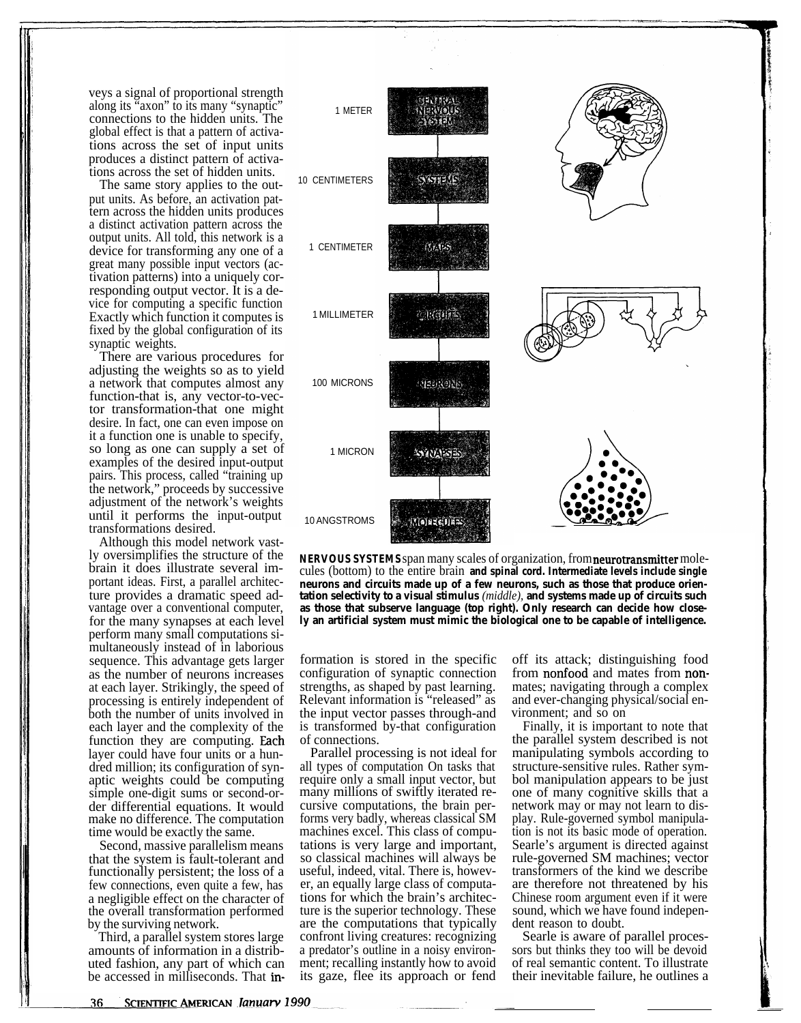veys a signal of proportional strength along its "axon" to its many "synaptic" connections to the hidden units. The global effect is that a pattern of activations across the set of input units produces a distinct pattern of activations across the set of hidden units.

The same story applies to the output units. As before, an activation pattern across the hidden units produces a distinct activation pattern across the output units. All told, this network is a device for transforming any one of a great many possible input vectors (activation patterns) into a uniquely corresponding output vector. It is a device for computing a specific function Exactly which function it computes is fixed by the global configuration of its synaptic weights.

There are various procedures for adjusting the weights so as to yield a network that computes almost any function-that is, any vector-to-vector transformation-that one might desire. In fact, one can even impose on it a function one is unable to specify, so long as one can supply a set of examples of the desired input-output pairs. This process, called "training up the network," proceeds by successive adjustment of the network's weights until it performs the input-output transformations desired.

Although this model network vastly oversimplifies the structure of the brain it does illustrate several important ideas. First, a parallel architecture provides a dramatic speed advantage over a conventional computer, for the many synapses at each level perform many small computations simultaneously instead of in laborious sequence. This advantage gets larger as the number of neurons increases at each layer. Strikingly, the speed of processing is entirely independent of both the number of units involved in each layer and the complexity of the function they are computing. Each layer could have four units or a hundred million; its configuration of synaptic weights could be computing simple one-digit sums or second-order differential equations. It would make no difference. The computation time would be exactly the same.

Second, massive parallelism means that the system is fault-tolerant and functionally persistent; the loss of a few connections, even quite a few, has a negligible effect on the character of the overall transformation performed by the surviving network.

Third, a parallel system stores large amounts of information in a distributed fashion, any part of which can be accessed in milliseconds. That in-



**NERVOUS SYSTEMS** span many scales of organization, from **neurotransmitter** molecules (bottom) to the entire brain **and spinal cord. Intermediate levels include single neurons and circuits made up of a few neurons, such as those that produce orientation selectivity to a visual stimulus** *(middle),* **and systems made up of circuits such as those that subserve language (top right). Only research can decide how closely an artificial system must mimic the biological one to be capable of intelligence.**

formation is stored in the specific configuration of synaptic connection strengths, as shaped by past learning. Relevant information is "released" as the input vector passes through-and is transformed by-that configuration of connections.

Parallel processing is not ideal for all types of computation On tasks that require only a small input vector, but many millions of swiftly iterated recursive computations, the brain performs very badly, whereas classical SM machines excel. This class of computations is very large and important, so classical machines will always be useful, indeed, vital. There is, however, an equally large class of computations for which the brain's architecture is the superior technology. These are the computations that typically confront living creatures: recognizing a predator's outline in a noisy environment; recalling instantly how to avoid its gaze, flee its approach or fend off its attack; distinguishing food from nonfood and mates from nonmates; navigating through a complex and ever-changing physical/social environment; and so on

Finally, it is important to note that the parallel system described is not manipulating symbols according to structure-sensitive rules. Rather symbol manipulation appears to be just one of many cognitive skills that a network may or may not learn to display. Rule-governed symbol manipulation is not its basic mode of operation. Searle's argument is directed against rule-governed SM machines; vector transformers of the kind we describe are therefore not threatened by his Chinese room argument even if it were sound, which we have found independent reason to doubt.

Searle is aware of parallel processors but thinks they too will be devoid of real semantic content. To illustrate their inevitable failure, he outlines a